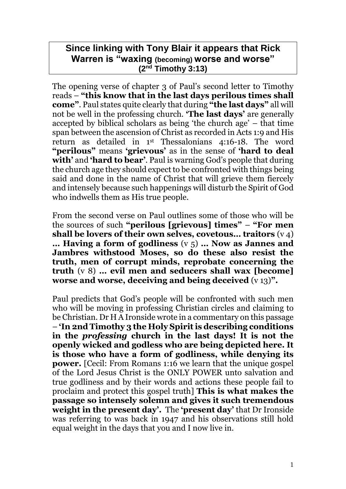# **Since linking with Tony Blair it appears that Rick Warren is "waxing (becoming) worse and worse" (2nd Timothy 3:13)**

The opening verse of chapter 3 of Paul's second letter to Timothy reads – **"this know that in the last days perilous times shall come"**. Paul states quite clearly that during **"the last days"** all will not be well in the professing church. **'The last days'** are generally accepted by biblical scholars as being 'the church age' – that time span between the ascension of Christ as recorded in Acts 1:9 and His return as detailed in 1st Thessalonians 4:16-18. The word **"perilous"** means **'grievous'** as in the sense of **'hard to deal with'** and **'hard to bear'**. Paul is warning God's people that during the church age they should expect to be confronted with things being said and done in the name of Christ that will grieve them fiercely and intensely because such happenings will disturb the Spirit of God who indwells them as His true people.

From the second verse on Paul outlines some of those who will be the sources of such **"perilous [grievous] times"** – **"For men shall be lovers of their own selves, covetous… traitors** (v 4) **… Having a form of godliness** (v 5) **… Now as Jannes and Jambres withstood Moses, so do these also resist the truth, men of corrupt minds, reprobate concerning the truth** (v 8) **… evil men and seducers shall wax [become] worse and worse, deceiving and being deceived** (v 13)**".**

Paul predicts that God's people will be confronted with such men who will be moving in professing Christian circles and claiming to be Christian. Dr H A Ironside wrote in a commentary on this passage – **'In 2nd Timothy 3 the Holy Spirit is describing conditions in the** *professing* **church in the last days! It is not the openly wicked and godless who are being depicted here. It is those who have a form of godliness, while denying its power.** [Cecil: From Romans 1:16 we learn that the unique gospel of the Lord Jesus Christ is the ONLY POWER unto salvation and true godliness and by their words and actions these people fail to proclaim and protect this gospel truth] **This is what makes the passage so intensely solemn and gives it such tremendous weight in the present day'.** The **'present day'** that Dr Ironside was referring to was back in 1947 and his observations still hold equal weight in the days that you and I now live in.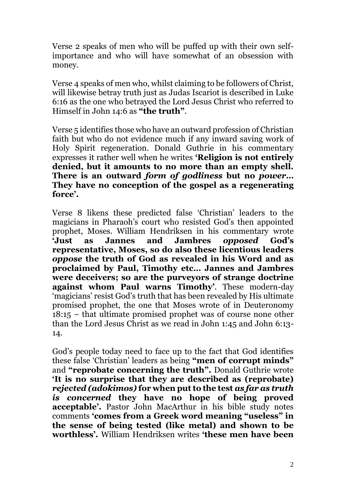Verse 2 speaks of men who will be puffed up with their own selfimportance and who will have somewhat of an obsession with money.

Verse 4 speaks of men who, whilst claiming to be followers of Christ, will likewise betray truth just as Judas Iscariot is described in Luke 6:16 as the one who betrayed the Lord Jesus Christ who referred to Himself in John 14:6 as **"the truth"**.

Verse 5 identifies those who have an outward profession of Christian faith but who do not evidence much if any inward saving work of Holy Spirit regeneration. Donald Guthrie in his commentary expresses it rather well when he writes **'Religion is not entirely denied, but it amounts to no more than an empty shell. There is an outward** *form of godliness* **but no** *power***… They have no conception of the gospel as a regenerating force'.**

Verse 8 likens these predicted false 'Christian' leaders to the magicians in Pharaoh's court who resisted God's then appointed prophet, Moses. William Hendriksen in his commentary wrote **'Just as Jannes and Jambres** *opposed* **God's representative, Moses, so do also these licentious leaders**  *oppose* **the truth of God as revealed in his Word and as proclaimed by Paul, Timothy etc… Jannes and Jambres were deceivers; so are the purveyors of strange doctrine against whom Paul warns Timothy'**. These modern-day 'magicians' resist God's truth that has been revealed by His ultimate promised prophet, the one that Moses wrote of in Deuteronomy 18:15 – that ultimate promised prophet was of course none other than the Lord Jesus Christ as we read in John 1:45 and John 6:13- 14.

God's people today need to face up to the fact that God identifies these false 'Christian' leaders as being **"men of corrupt minds"**  and **"reprobate concerning the truth".** Donald Guthrie wrote **'It is no surprise that they are described as (reprobate)**  *rejected (adokimos)* **for when put to the test** *as far as truth is concerned* **they have no hope of being proved acceptable'.** Pastor John MacArthur in his bible study notes comments **'comes from a Greek word meaning "useless" in the sense of being tested (like metal) and shown to be worthless'.** William Hendriksen writes **'these men have been**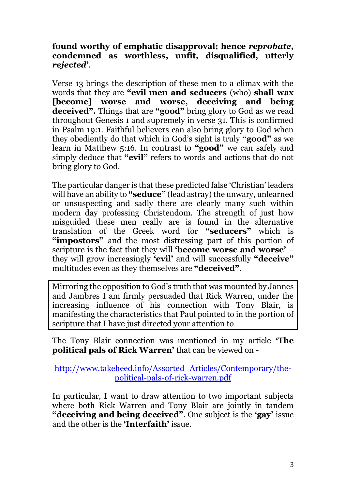**found worthy of emphatic disapproval; hence** *reprobate***, condemned as worthless, unfit, disqualified, utterly** *rejected***'**.

Verse 13 brings the description of these men to a climax with the words that they are **"evil men and seducers** (who) **shall wax [become] worse and worse, deceiving and being deceived".** Things that are **"good"** bring glory to God as we read throughout Genesis 1 and supremely in verse 31. This is confirmed in Psalm 19:1. Faithful believers can also bring glory to God when they obediently do that which in God's sight is truly **"good"** as we learn in Matthew 5:16. In contrast to **"good"** we can safely and simply deduce that **"evil"** refers to words and actions that do not bring glory to God.

The particular danger is that these predicted false 'Christian' leaders will have an ability to **"seduce"** (lead astray) the unwary, unlearned or unsuspecting and sadly there are clearly many such within modern day professing Christendom. The strength of just how misguided these men really are is found in the alternative translation of the Greek word for **"seducers"** which is **"impostors"** and the most distressing part of this portion of scripture is the fact that they will **'become worse and worse'** – they will grow increasingly **'evil'** and will successfully **"deceive"** multitudes even as they themselves are **"deceived"**.

Mirroring the opposition to God's truth that was mounted by Jannes and Jambres I am firmly persuaded that Rick Warren, under the increasing influence of his connection with Tony Blair, is manifesting the characteristics that Paul pointed to in the portion of scripture that I have just directed your attention to.

The Tony Blair connection was mentioned in my article **'The political pals of Rick Warren'** that can be viewed on -

[http://www.takeheed.info/Assorted\\_Articles/Contemporary/the](http://www.takeheed.info/Assorted_Articles/Contemporary/the-political-pals-of-rick-warren.pdf)[political-pals-of-rick-warren.pdf](http://www.takeheed.info/Assorted_Articles/Contemporary/the-political-pals-of-rick-warren.pdf)

In particular, I want to draw attention to two important subjects where both Rick Warren and Tony Blair are jointly in tandem **"deceiving and being deceived"**. One subject is the **'gay'** issue and the other is the **'Interfaith'** issue.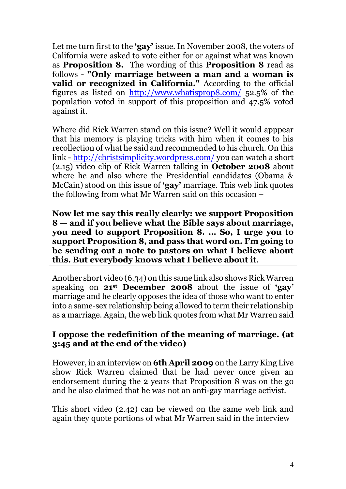Let me turn first to the **'gay'** issue. In November 2008, the voters of California were asked to vote either for or against what was known as **Proposition 8.** The wording of this **Proposition 8** read as follows - **"Only marriage between a man and a woman is valid or recognized in California."** According to the official figures as listed on <http://www.whatisprop8.com/> 52.5% of the population voted in support of this proposition and 47.5% voted against it.

Where did Rick Warren stand on this issue? Well it would apppear that his memory is playing tricks with him when it comes to his recollection of what he said and recommended to his church. On this link - <http://christsimplicity.wordpress.com/> you can watch a short (2.15) video clip of Rick Warren talking in **October 2008** about where he and also where the Presidential candidates (Obama & McCain) stood on this issue of **'gay'** marriage. This web link quotes the following from what Mr Warren said on this occasion –

**Now let me say this really clearly: we support Proposition 8 — and if you believe what the Bible says about marriage, you need to support Proposition 8. … So, I urge you to support Proposition 8, and pass that word on. I'm going to be sending out a note to pastors on what I believe about this. But everybody knows what I believe about it**.

Another short video (6.34) on this same link also shows Rick Warren speaking on **21st December 2008** about the issue of **'gay'**  marriage and he clearly opposes the idea of those who want to enter into a same-sex relationship being allowed to term their relationship as a marriage. Again, the web link quotes from what Mr Warren said

# **I oppose the redefinition of the meaning of marriage. (at 3:45 and at the end of the video)**

However, in an interview on **6th April 2009** on the Larry King Live show Rick Warren claimed that he had never once given an endorsement during the 2 years that Proposition 8 was on the go and he also claimed that he was not an anti-gay marriage activist.

This short video (2.42) can be viewed on the same web link and again they quote portions of what Mr Warren said in the interview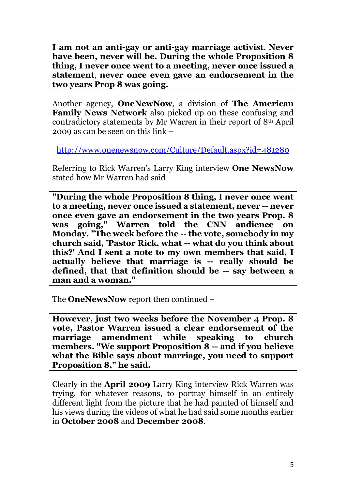**I am not an anti-gay or anti-gay marriage activist**. **Never have been, never will be. During the whole Proposition 8 thing, I never once went to a meeting, never once issued a statement**, **never once even gave an endorsement in the two years Prop 8 was going.**

Another agency, **OneNewNow**, a division of **The American Family News Network** also picked up on these confusing and contradictory statements by Mr Warren in their report of 8th April 2009 as can be seen on this link –

<http://www.onenewsnow.com/Culture/Default.aspx?id=481280>

Referring to Rick Warren's Larry King interview **One NewsNow** stated how Mr Warren had said –

**"During the whole Proposition 8 thing, I never once went to a meeting, never once issued a statement, never -- never once even gave an endorsement in the two years Prop. 8 was going," Warren told the CNN audience on Monday. "The week before the -- the vote, somebody in my church said, 'Pastor Rick, what -- what do you think about this?' And I sent a note to my own members that said, I actually believe that marriage is -- really should be defined, that that definition should be -- say between a man and a woman."**

The **OneNewsNow** report then continued –

**However, just two weeks before the November 4 Prop. 8 vote, Pastor Warren issued a clear endorsement of the marriage amendment while speaking to church members. "We support Proposition 8 -- and if you believe what the Bible says about marriage, you need to support Proposition 8," he said.**

Clearly in the **April 2009** Larry King interview Rick Warren was trying, for whatever reasons, to portray himself in an entirely different light from the picture that he had painted of himself and his views during the videos of what he had said some months earlier in **October 2008** and **December 2008**.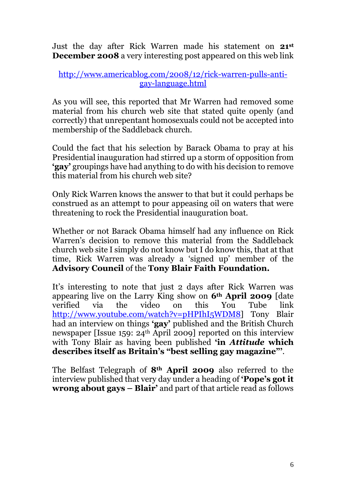Just the day after Rick Warren made his statement on **21st December 2008** a very interesting post appeared on this web link

# [http://www.americablog.com/2008/12/rick-warren-pulls-anti](http://www.americablog.com/2008/12/rick-warren-pulls-anti-gay-language.html)[gay-language.html](http://www.americablog.com/2008/12/rick-warren-pulls-anti-gay-language.html)

As you will see, this reported that Mr Warren had removed some material from his church web site that stated quite openly (and correctly) that unrepentant homosexuals could not be accepted into membership of the Saddleback church.

Could the fact that his selection by Barack Obama to pray at his Presidential inauguration had stirred up a storm of opposition from **'gay'** groupings have had anything to do with his decision to remove this material from his church web site?

Only Rick Warren knows the answer to that but it could perhaps be construed as an attempt to pour appeasing oil on waters that were threatening to rock the Presidential inauguration boat.

Whether or not Barack Obama himself had any influence on Rick Warren's decision to remove this material from the Saddleback church web site I simply do not know but I do know this, that at that time, Rick Warren was already a 'signed up' member of the **Advisory Council** of the **Tony Blair Faith Foundation.**

It's interesting to note that just 2 days after Rick Warren was appearing live on the Larry King show on **6th April 2009** [date verified via the video on this You Tube link [http://www.youtube.com/watch?v=pHPIhI5WDM8\]](http://www.youtube.com/watch?v=pHPIhI5WDM8) Tony Blair had an interview on things **'gay'** published and the British Church newspaper [Issue 159: 24<sup>th</sup> April 2009] reported on this interview with Tony Blair as having been published **'in** *Attitude* **which describes itself as Britain's "best selling gay magazine"'**.

The Belfast Telegraph of **8th April 2009** also referred to the interview published that very day under a heading of **'Pope's got it wrong about gays – Blair'** and part of that article read as follows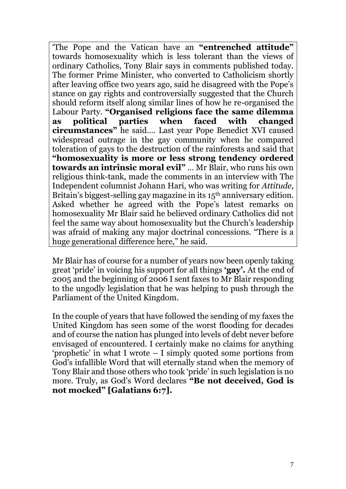'The Pope and the Vatican have an **"entrenched attitude"** towards homosexuality which is less tolerant than the views of ordinary Catholics, Tony Blair says in comments published today. The former Prime Minister, who converted to Catholicism shortly after leaving office two years ago, said he disagreed with the Pope's stance on gay rights and controversially suggested that the Church should reform itself along similar lines of how he re-organised the Labour Party. **"Organised religions face the same dilemma as political parties when faced with changed circumstances"** he said…. Last year Pope Benedict XVI caused widespread outrage in the gay community when he compared toleration of gays to the destruction of the rainforests and said that **"homosexuality is more or less strong tendency ordered towards an intrinsic moral evil"** … Mr Blair, who runs his own religious think-tank, made the comments in an interview with The Independent columnist Johann Hari, who was writing for *Attitude,*  Britain's biggest-selling gay magazine in its 15<sup>th</sup> anniversary edition. Asked whether he agreed with the Pope's latest remarks on homosexuality Mr Blair said he believed ordinary Catholics did not feel the same way about homosexuality but the Church's leadership was afraid of making any major doctrinal concessions. "There is a huge generational difference here," he said.

Mr Blair has of course for a number of years now been openly taking great 'pride' in voicing his support for all things **'gay'.** At the end of 2005 and the beginning of 2006 I sent faxes to Mr Blair responding to the ungodly legislation that he was helping to push through the Parliament of the United Kingdom.

In the couple of years that have followed the sending of my faxes the United Kingdom has seen some of the worst flooding for decades and of course the nation has plunged into levels of debt never before envisaged of encountered. I certainly make no claims for anything 'prophetic' in what I wrote – I simply quoted some portions from God's infallible Word that will eternally stand when the memory of Tony Blair and those others who took 'pride' in such legislation is no more. Truly, as God's Word declares **"Be not deceived, God is not mocked" [Galatians 6:7].**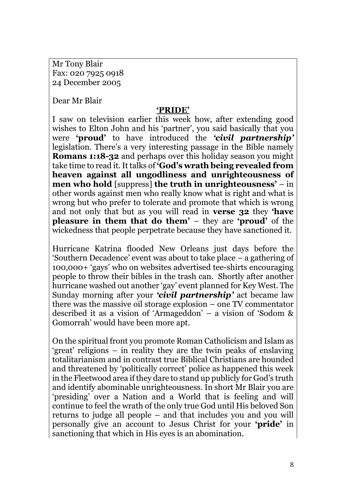Mr Tony Blair Fax: 020 7925 0918 24 December 2005

Dear Mr Blair

# **'PRIDE'**

I saw on television earlier this week how, after extending good wishes to Elton John and his 'partner', you said basically that you were **'proud'** to have introduced the *'civil partnership'* legislation. There's a very interesting passage in the Bible namely **Romans 1:18-32** and perhaps over this holiday season you might take time to read it. It talks of **'God's wrath being revealed from heaven against all ungodliness and unrighteousness of men who hold** [suppress] **the truth in unrighteousness'** – in other words against men who really know what is right and what is wrong but who prefer to tolerate and promote that which is wrong and not only that but as you will read in **verse 32** they **'have pleasure in them that do them'** – they are **'proud'** of the wickedness that people perpetrate because they have sanctioned it.

Hurricane Katrina flooded New Orleans just days before the 'Southern Decadence' event was about to take place – a gathering of 100,000+ 'gays' who on websites advertised tee-shirts encouraging people to throw their bibles in the trash can. Shortly after another hurricane washed out another 'gay' event planned for Key West. The Sunday morning after your *'civil partnership'* act became law there was the massive oil storage explosion – one TV commentator described it as a vision of 'Armageddon' – a vision of 'Sodom & Gomorrah' would have been more apt.

On the spiritual front you promote Roman Catholicism and Islam as 'great' religions – in reality they are the twin peaks of enslaving totalitarianism and in contrast true Biblical Christians are hounded and threatened by 'politically correct' police as happened this week in the Fleetwood area if they dare to stand up publicly for God's truth and identify abominable unrighteousness. In short Mr Blair you are 'presiding' over a Nation and a World that is feeling and will continue to feel the wrath of the only true God until His beloved Son returns to judge all people – and that includes you and you will personally give an account to Jesus Christ for your **'pride'** in sanctioning that which in His eyes is an abomination.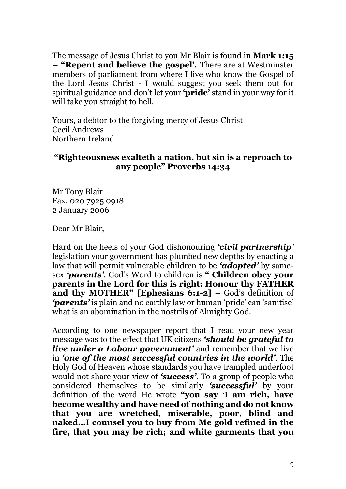The message of Jesus Christ to you Mr Blair is found in **Mark 1:15 – "Repent and believe the gospel'.** There are at Westminster members of parliament from where I live who know the Gospel of the Lord Jesus Christ - I would suggest you seek them out for spiritual guidance and don't let your **'pride'** stand in your way for it will take you straight to hell.

Yours, a debtor to the forgiving mercy of Jesus Christ Cecil Andrews Northern Ireland

# **"Righteousness exalteth a nation, but sin is a reproach to any people" Proverbs 14:34**

Mr Tony Blair Fax: 020 7925 0918 2 January 2006

Dear Mr Blair,

Hard on the heels of your God dishonouring *'civil partnership'* legislation your government has plumbed new depths by enacting a law that will permit vulnerable children to be *'adopted'* by samesex *'parents'*. God's Word to children is **" Children obey your parents in the Lord for this is right: Honour thy FATHER and thy MOTHER" [Ephesians 6:1-2]** – God's definition of *'parents'* is plain and no earthly law or human 'pride' can 'sanitise' what is an abomination in the nostrils of Almighty God.

According to one newspaper report that I read your new year message was to the effect that UK citizens *'should be grateful to live under a Labour government'* and remember that we live in *'one of the most successful countries in the world'.* The Holy God of Heaven whose standards you have trampled underfoot would not share your view of *'success'*. To a group of people who considered themselves to be similarly *'successful'* by your definition of the word He wrote **"you say 'I am rich, have become wealthy and have need of nothing and do not know that you are wretched, miserable, poor, blind and naked…I counsel you to buy from Me gold refined in the fire, that you may be rich; and white garments that you**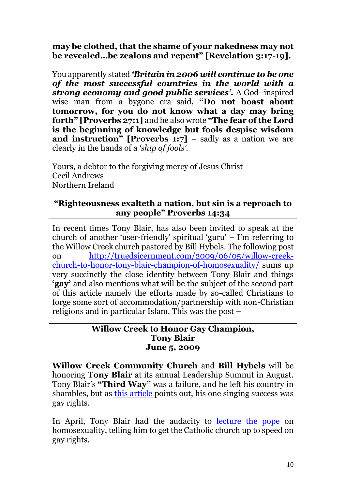**may be clothed, that the shame of your nakedness may not be revealed…be zealous and repent" [Revelation 3:17-19].**

You apparently stated *'Britain in 2006 will continue to be one of the most successful countries in the world with a strong economy and good public services'.* A God–inspired wise man from a bygone era said, **"Do not boast about tomorrow, for you do not know what a day may bring forth" [Proverbs 27:1]** and he also wrote **"The fear of the Lord is the beginning of knowledge but fools despise wisdom and instruction" [Proverbs 1:7]** – sadly as a nation we are clearly in the hands of a *'ship of fools'.*

Yours, a debtor to the forgiving mercy of Jesus Christ Cecil Andrews Northern Ireland

# **"Righteousness exalteth a nation, but sin is a reproach to any people" Proverbs 14:34**

In recent times Tony Blair, has also been invited to speak at the church of another 'user-friendly' spiritual 'guru' – I'm referring to the Willow Creek church pastored by Bill Hybels. The following post on [http://truedsicernment.com/2009/06/05/willow-creek](http://truedsicernment.com/2009/06/05/willow-creek-church-to-honor-tony-blair-champion-of-homosexuality/)[church-to-honor-tony-blair-champion-of-homosexuality/](http://truedsicernment.com/2009/06/05/willow-creek-church-to-honor-tony-blair-champion-of-homosexuality/) sums up very succinctly the close identity between Tony Blair and things **'gay'** and also mentions what will be the subject of the second part of this article namely the efforts made by so-called Christians to forge some sort of accommodation/partnership with non-Christian religions and in particular Islam. This was the post –

# **Willow Creek to Honor Gay Champion, Tony Blair June 5, 2009**

**Willow Creek Community Church** and **Bill Hybels** will be honoring **Tony Blair** at its annual Leadership Summit in August. Tony Blair's **"Third Way"** was a failure, and he left his country in shambles, but as [this article p](http://www.independent.co.uk/opinion/commentators/johann-hari/johann-hari-gay-rights-is-the-one-conspicuous-success-of-a-flawed-man-1665364.html)oints out, his one singing success was gay rights.

In April, Tony Blair had the audacity to [lecture the pope](http://www.timesonline.co.uk/tol/comment/faith/article6055696.ece) on homosexuality, telling him to get the Catholic church up to speed on gay rights.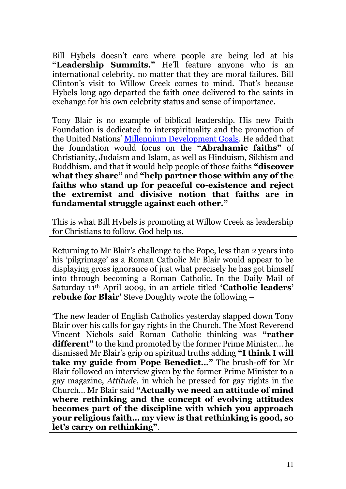Bill Hybels doesn't care where people are being led at his **"Leadership Summits."** He'll feature anyone who is an international celebrity, no matter that they are moral failures. Bill Clinton's visit to Willow Creek comes to mind. That's because Hybels long ago departed the faith once delivered to the saints in exchange for his own celebrity status and sense of importance.

Tony Blair is no example of biblical leadership. His new Faith Foundation is dedicated to interspirituality and the promotion of the United Nations' [Millennium Development Goals.](http://www.independent.co.uk/news/uk/home-news/blair-declares-his-faith-i-want-to-awaken-worlds-conscience-804519.html) He added that the foundation would focus on the **"Abrahamic faiths"** of Christianity, Judaism and Islam, as well as Hinduism, Sikhism and Buddhism, and that it would help people of those faiths **"discover what they share"** and **"help partner those within any of the faiths who stand up for peaceful co-existence and reject the extremist and divisive notion that faiths are in fundamental struggle against each other."** 

This is what Bill Hybels is promoting at Willow Creek as leadership for Christians to follow. God help us.

Returning to Mr Blair's challenge to the Pope, less than 2 years into his 'pilgrimage' as a Roman Catholic Mr Blair would appear to be displaying gross ignorance of just what precisely he has got himself into through becoming a Roman Catholic. In the Daily Mail of Saturday 11th April 2009, in an article titled **'Catholic leaders' rebuke for Blair'** Steve Doughty wrote the following –

'The new leader of English Catholics yesterday slapped down Tony Blair over his calls for gay rights in the Church. The Most Reverend Vincent Nichols said Roman Catholic thinking was **"rather different"** to the kind promoted by the former Prime Minister… he dismissed Mr Blair's grip on spiritual truths adding **"I think I will take my guide from Pope Benedict…"** The brush-off for Mr Blair followed an interview given by the former Prime Minister to a gay magazine, *Attitude,* in which he pressed for gay rights in the Church… Mr Blair said **"Actually we need an attitude of mind where rethinking and the concept of evolving attitudes becomes part of the discipline with which you approach your religious faith… my view is that rethinking is good, so let's carry on rethinking"**.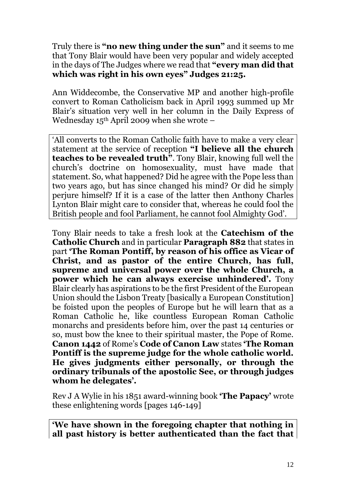Truly there is **"no new thing under the sun"** and it seems to me that Tony Blair would have been very popular and widely accepted in the days of The Judges where we read that **"every man did that which was right in his own eyes" Judges 21:25.**

Ann Widdecombe, the Conservative MP and another high-profile convert to Roman Catholicism back in April 1993 summed up Mr Blair's situation very well in her column in the Daily Express of Wednesday  $15<sup>th</sup>$  April 2009 when she wrote –

'All converts to the Roman Catholic faith have to make a very clear statement at the service of reception **"I believe all the church teaches to be revealed truth"**. Tony Blair, knowing full well the church's doctrine on homosexuality, must have made that statement. So, what happened? Did he agree with the Pope less than two years ago, but has since changed his mind? Or did he simply perjure himself? If it is a case of the latter then Anthony Charles Lynton Blair might care to consider that, whereas he could fool the British people and fool Parliament, he cannot fool Almighty God'.

Tony Blair needs to take a fresh look at the **Catechism of the Catholic Church** and in particular **Paragraph 882** that states in part **'The Roman Pontiff, by reason of his office as Vicar of Christ, and as pastor of the entire Church, has full, supreme and universal power over the whole Church, a power which he can always exercise unhindered'.** Tony Blair clearly has aspirations to be the first President of the European Union should the Lisbon Treaty [basically a European Constitution] be foisted upon the peoples of Europe but he will learn that as a Roman Catholic he, like countless European Roman Catholic monarchs and presidents before him, over the past 14 centuries or so, must bow the knee to their spiritual master, the Pope of Rome. **Canon 1442** of Rome's **Code of Canon Law** states **'The Roman Pontiff is the supreme judge for the whole catholic world. He gives judgments either personally, or through the ordinary tribunals of the apostolic See, or through judges whom he delegates'.**

Rev J A Wylie in his 1851 award-winning book **'The Papacy'** wrote these enlightening words [pages 146-149]

**'We have shown in the foregoing chapter that nothing in all past history is better authenticated than the fact that**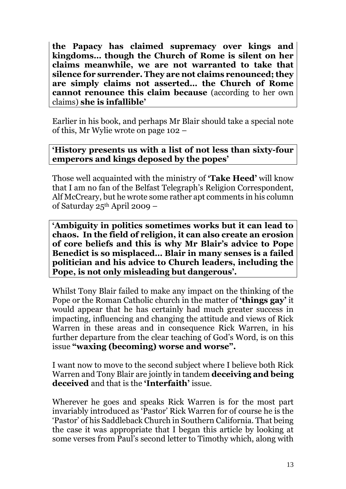**the Papacy has claimed supremacy over kings and kingdoms… though the Church of Rome is silent on her claims meanwhile, we are not warranted to take that silence for surrender. They are not claims renounced; they are simply claims not asserted… the Church of Rome cannot renounce this claim because** (according to her own claims) **she is infallible'**

Earlier in his book, and perhaps Mr Blair should take a special note of this, Mr Wylie wrote on page 102 –

# **'History presents us with a list of not less than sixty-four emperors and kings deposed by the popes'**

Those well acquainted with the ministry of **'Take Heed'** will know that I am no fan of the Belfast Telegraph's Religion Correspondent, Alf McCreary, but he wrote some rather apt comments in his column of Saturday 25th April 2009 –

**'Ambiguity in politics sometimes works but it can lead to chaos. In the field of religion, it can also create an erosion of core beliefs and this is why Mr Blair's advice to Pope Benedict is so misplaced… Blair in many senses is a failed politician and his advice to Church leaders, including the Pope, is not only misleading but dangerous'.**

Whilst Tony Blair failed to make any impact on the thinking of the Pope or the Roman Catholic church in the matter of **'things gay'** it would appear that he has certainly had much greater success in impacting, influencing and changing the attitude and views of Rick Warren in these areas and in consequence Rick Warren, in his further departure from the clear teaching of God's Word, is on this issue **"waxing (becoming) worse and worse".**

I want now to move to the second subject where I believe both Rick Warren and Tony Blair are jointly in tandem **deceiving and being deceived** and that is the **'Interfaith'** issue.

Wherever he goes and speaks Rick Warren is for the most part invariably introduced as 'Pastor' Rick Warren for of course he is the 'Pastor' of his Saddleback Church in Southern California. That being the case it was appropriate that I began this article by looking at some verses from Paul's second letter to Timothy which, along with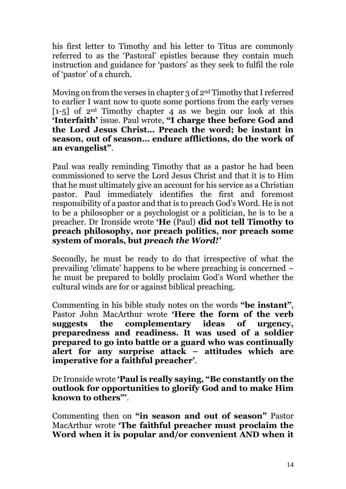his first letter to Timothy and his letter to Titus are commonly referred to as the 'Pastoral' epistles because they contain much instruction and guidance for 'pastors' as they seek to fulfil the role of 'pastor' of a church.

Moving on from the verses in chapter 3 of 2nd Timothy that I referred to earlier I want now to quote some portions from the early verses  $[1-5]$  of 2<sup>nd</sup> Timothy chapter 4 as we begin our look at this **'Interfaith'** issue. Paul wrote, **"I charge thee before God and the Lord Jesus Christ… Preach the word; be instant in season, out of season… endure afflictions, do the work of an evangelist"**.

Paul was really reminding Timothy that as a pastor he had been commissioned to serve the Lord Jesus Christ and that it is to Him that he must ultimately give an account for his service as a Christian pastor. Paul immediately identifies the first and foremost responsibility of a pastor and that is to preach God's Word. He is not to be a philosopher or a psychologist or a politician, he is to be a preacher. Dr Ironside wrote **'He** (Paul) **did not tell Timothy to preach philosophy, nor preach politics, nor preach some system of morals, but** *preach the Word!'* 

Secondly, he must be ready to do that irrespective of what the prevailing 'climate' happens to be where preaching is concerned – he must be prepared to boldly proclaim God's Word whether the cultural winds are for or against biblical preaching.

Commenting in his bible study notes on the words **"be instant"**, Pastor John MacArthur wrote **'Here the form of the verb suggests the complementary ideas of urgency, preparedness and readiness. It was used of a soldier prepared to go into battle or a guard who was continually alert for any surprise attack – attitudes which are imperative for a faithful preacher'**.

Dr Ironside wrote **'Paul is really saying, "Be constantly on the outlook for opportunities to glorify God and to make Him known to others"'**.

Commenting then on **"in season and out of season"** Pastor MacArthur wrote **'The faithful preacher must proclaim the Word when it is popular and/or convenient AND when it**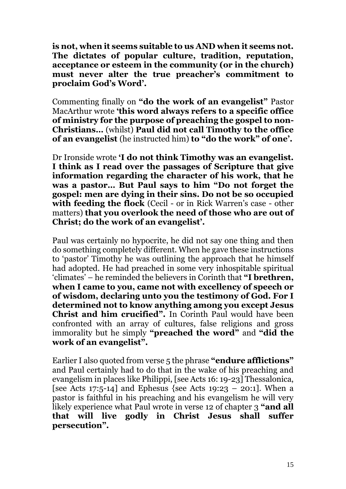**is not, when it seems suitable to us AND when it seems not. The dictates of popular culture, tradition, reputation, acceptance or esteem in the community (or in the church) must never alter the true preacher's commitment to proclaim God's Word'.**

Commenting finally on **"do the work of an evangelist"** Pastor MacArthur wrote **'this word always refers to a specific office of ministry for the purpose of preaching the gospel to non-Christians…** (whilst) **Paul did not call Timothy to the office of an evangelist** (he instructed him) **to "do the work" of one'.**

Dr Ironside wrote **'I do not think Timothy was an evangelist. I think as I read over the passages of Scripture that give information regarding the character of his work, that he was a pastor… But Paul says to him "Do not forget the gospel: men are dying in their sins. Do not be so occupied with feeding the flock** (Cecil - or in Rick Warren's case - other matters) **that you overlook the need of those who are out of Christ; do the work of an evangelist'.**

Paul was certainly no hypocrite, he did not say one thing and then do something completely different. When he gave these instructions to 'pastor' Timothy he was outlining the approach that he himself had adopted. He had preached in some very inhospitable spiritual 'climates' – he reminded the believers in Corinth that **"I brethren, when I came to you, came not with excellency of speech or of wisdom, declaring unto you the testimony of God. For I determined not to know anything among you except Jesus Christ and him crucified".** In Corinth Paul would have been confronted with an array of cultures, false religions and gross immorality but he simply **"preached the word"** and **"did the work of an evangelist".**

Earlier I also quoted from verse 5 the phrase **"endure afflictions"**  and Paul certainly had to do that in the wake of his preaching and evangelism in places like Philippi, [see Acts 16: 19-23] Thessalonica, [see Acts 17:5-14] and Ephesus {see Acts 19:23 – 20:1]. When a pastor is faithful in his preaching and his evangelism he will very likely experience what Paul wrote in verse 12 of chapter 3 **"and all that will live godly in Christ Jesus shall suffer persecution".**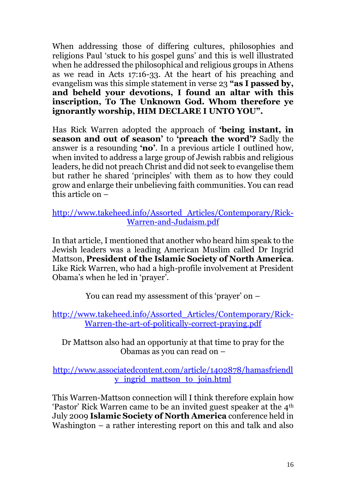When addressing those of differing cultures, philosophies and religions Paul 'stuck to his gospel guns' and this is well illustrated when he addressed the philosophical and religious groups in Athens as we read in Acts 17:16-33. At the heart of his preaching and evangelism was this simple statement in verse 23 **"as I passed by, and beheld your devotions, I found an altar with this inscription, To The Unknown God. Whom therefore ye ignorantly worship, HIM DECLARE I UNTO YOU".**

Has Rick Warren adopted the approach of **'being instant, in season and out of season'** to **'preach the word'?** Sadly the answer is a resounding **'no'**. In a previous article I outlined how, when invited to address a large group of Jewish rabbis and religious leaders, he did not preach Christ and did not seek to evangelise them but rather he shared 'principles' with them as to how they could grow and enlarge their unbelieving faith communities. You can read this article on –

# [http://www.takeheed.info/Assorted\\_Articles/Contemporary/Rick-](http://www.takeheed.info/Assorted_Articles/Contemporary/Rick-Warren-and-Judaism.pdf)[Warren-and-Judaism.pdf](http://www.takeheed.info/Assorted_Articles/Contemporary/Rick-Warren-and-Judaism.pdf)

In that article, I mentioned that another who heard him speak to the Jewish leaders was a leading American Muslim called Dr Ingrid Mattson, **President of the Islamic Society of North America**. Like Rick Warren, who had a high-profile involvement at President Obama's when he led in 'prayer'.

You can read my assessment of this 'prayer' on –

[http://www.takeheed.info/Assorted\\_Articles/Contemporary/Rick-](http://www.takeheed.info/Assorted_Articles/Contemporary/Rick-Warren-the-art-of-politically-correct-praying.pdf)[Warren-the-art-of-politically-correct-praying.pdf](http://www.takeheed.info/Assorted_Articles/Contemporary/Rick-Warren-the-art-of-politically-correct-praying.pdf)

Dr Mattson also had an opportuniy at that time to pray for the Obamas as you can read on –

[http://www.associatedcontent.com/article/1402878/hamasfriendl](http://www.associatedcontent.com/article/1402878/hamasfriendly_ingrid_mattson_to_join.html) [y\\_ingrid\\_mattson\\_to\\_join.html](http://www.associatedcontent.com/article/1402878/hamasfriendly_ingrid_mattson_to_join.html)

This Warren-Mattson connection will I think therefore explain how 'Pastor' Rick Warren came to be an invited guest speaker at the 4th July 2009 **Islamic Society of North America** conference held in Washington – a rather interesting report on this and talk and also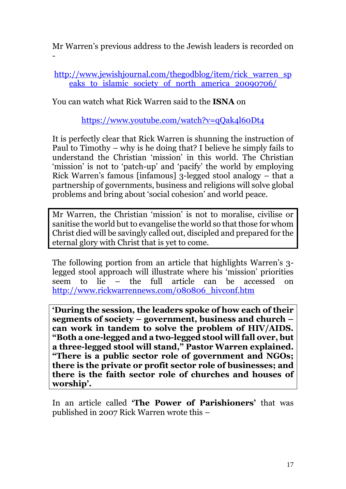Mr Warren's previous address to the Jewish leaders is recorded on

[http://www.jewishjournal.com/thegodblog/item/rick\\_warren\\_sp](http://www.jewishjournal.com/thegodblog/item/rick_warren_speaks_to_islamic_society_of_north_america_20090706/) eaks to islamic society of north america 20090706/

You can watch what Rick Warren said to the **ISNA** on

-

<https://www.youtube.com/watch?v=qQak4l60Dt4>

It is perfectly clear that Rick Warren is shunning the instruction of Paul to Timothy – why is he doing that? I believe he simply fails to understand the Christian 'mission' in this world. The Christian 'mission' is not to 'patch-up' and 'pacify' the world by employing Rick Warren's famous [infamous] 3-legged stool analogy – that a partnership of governments, business and religions will solve global problems and bring about 'social cohesion' and world peace.

Mr Warren, the Christian 'mission' is not to moralise, civilise or sanitise the world but to evangelise the world so that those for whom Christ died will be savingly called out, discipled and prepared for the eternal glory with Christ that is yet to come.

The following portion from an article that highlights Warren's 3 legged stool approach will illustrate where his 'mission' priorities seem to lie – the full article can be accessed on [http://www.rickwarrennews.com/080806\\_hivconf.htm](http://www.rickwarrennews.com/080806_hivconf.htm)

**'During the session, the leaders spoke of how each of their segments of society – government, business and church – can work in tandem to solve the problem of HIV/AIDS. "Both a one-legged and a two-legged stool will fall over, but a three-legged stool will stand," Pastor Warren explained. "There is a public sector role of government and NGOs; there is the private or profit sector role of businesses; and there is the faith sector role of churches and houses of worship'.**

In an article called **'The Power of Parishioners'** that was published in 2007 Rick Warren wrote this –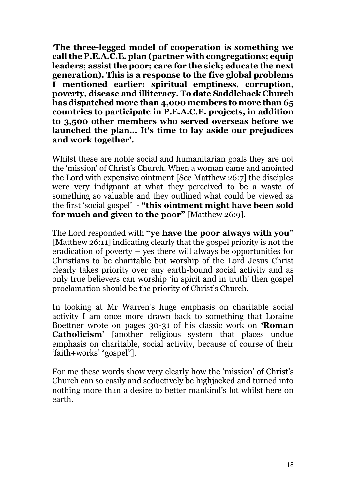**'The three-legged model of cooperation is something we call the P.E.A.C.E. plan (partner with congregations; equip leaders; assist the poor; care for the sick; educate the next generation). This is a response to the five global problems I mentioned earlier: spiritual emptiness, corruption, poverty, disease and illiteracy. To date Saddleback Church has dispatched more than 4,000 members to more than 65 countries to participate in P.E.A.C.E. projects, in addition to 3,500 other members who served overseas before we launched the plan… It's time to lay aside our prejudices and work together'.**

Whilst these are noble social and humanitarian goals they are not the 'mission' of Christ's Church. When a woman came and anointed the Lord with expensive ointment [See Matthew 26:7] the disciples were very indignant at what they perceived to be a waste of something so valuable and they outlined what could be viewed as the first 'social gospel' - **"this ointment might have been sold for much and given to the poor"** [Matthew 26:9].

The Lord responded with **"ye have the poor always with you"**  [Matthew 26:11] indicating clearly that the gospel priority is not the eradication of poverty – yes there will always be opportunities for Christians to be charitable but worship of the Lord Jesus Christ clearly takes priority over any earth-bound social activity and as only true believers can worship 'in spirit and in truth' then gospel proclamation should be the priority of Christ's Church.

In looking at Mr Warren's huge emphasis on charitable social activity I am once more drawn back to something that Loraine Boettner wrote on pages 30-31 of his classic work on **'Roman Catholicism'** [another religious system that places undue emphasis on charitable, social activity, because of course of their 'faith+works' "gospel"].

For me these words show very clearly how the 'mission' of Christ's Church can so easily and seductively be highjacked and turned into nothing more than a desire to better mankind's lot whilst here on earth.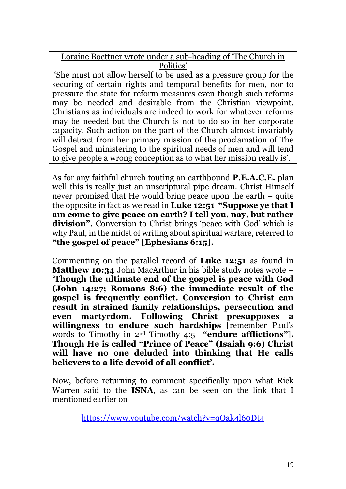Loraine Boettner wrote under a sub-heading of 'The Church in Politics'

'She must not allow herself to be used as a pressure group for the securing of certain rights and temporal benefits for men, nor to pressure the state for reform measures even though such reforms may be needed and desirable from the Christian viewpoint. Christians as individuals are indeed to work for whatever reforms may be needed but the Church is not to do so in her corporate capacity. Such action on the part of the Church almost invariably will detract from her primary mission of the proclamation of The Gospel and ministering to the spiritual needs of men and will tend to give people a wrong conception as to what her mission really is'.

As for any faithful church touting an earthbound **P.E.A.C.E.** plan well this is really just an unscriptural pipe dream. Christ Himself never promised that He would bring peace upon the earth – quite the opposite in fact as we read in **Luke 12:51 "Suppose ye that I am come to give peace on earth? I tell you, nay, but rather division".** Conversion to Christ brings 'peace with God' which is why Paul, in the midst of writing about spiritual warfare, referred to **"the gospel of peace" [Ephesians 6:15].**

Commenting on the parallel record of **Luke 12:51** as found in **Matthew 10:34** John MacArthur in his bible study notes wrote – **'Though the ultimate end of the gospel is peace with God (John 14:27; Romans 8:6) the immediate result of the gospel is frequently conflict. Conversion to Christ can result in strained family relationships, persecution and even martyrdom. Following Christ presupposes a willingness to endure such hardships** [remember Paul's words to Timothy in 2nd Timothy 4:5 **"endure afflictions"**]**. Though He is called "Prince of Peace" (Isaiah 9:6) Christ will have no one deluded into thinking that He calls believers to a life devoid of all conflict'.**

Now, before returning to comment specifically upon what Rick Warren said to the **ISNA**, as can be seen on the link that I mentioned earlier on

<https://www.youtube.com/watch?v=qQak4l60Dt4>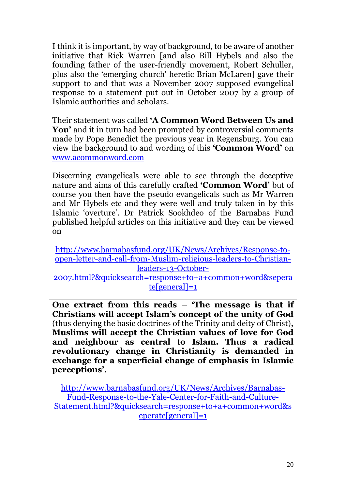I think it is important, by way of background, to be aware of another initiative that Rick Warren [and also Bill Hybels and also the founding father of the user-friendly movement, Robert Schuller, plus also the 'emerging church' heretic Brian McLaren] gave their support to and that was a November 2007 supposed evangelical response to a statement put out in October 2007 by a group of Islamic authorities and scholars.

Their statement was called **'A Common Word Between Us and You'** and it in turn had been prompted by controversial comments made by Pope Benedict the previous year in Regensburg. You can view the background to and wording of this **'Common Word'** on [www.acommonword.com](http://www.acommonword.com/)

Discerning evangelicals were able to see through the deceptive nature and aims of this carefully crafted **'Common Word'** but of course you then have the pseudo evangelicals such as Mr Warren and Mr Hybels etc and they were well and truly taken in by this Islamic 'overture'. Dr Patrick Sookhdeo of the Barnabas Fund published helpful articles on this initiative and they can be viewed on

[http://www.barnabasfund.org/UK/News/Archives/Response-to](http://www.barnabasfund.org/UK/News/Archives/Response-to-open-letter-and-call-from-Muslim-religious-leaders-to-Christian-leaders-13-October-2007.html?&quicksearch=response+to+a+common+word&seperate%5bgeneral%5d=1)[open-letter-and-call-from-Muslim-religious-leaders-to-Christian](http://www.barnabasfund.org/UK/News/Archives/Response-to-open-letter-and-call-from-Muslim-religious-leaders-to-Christian-leaders-13-October-2007.html?&quicksearch=response+to+a+common+word&seperate%5bgeneral%5d=1)[leaders-13-October-](http://www.barnabasfund.org/UK/News/Archives/Response-to-open-letter-and-call-from-Muslim-religious-leaders-to-Christian-leaders-13-October-2007.html?&quicksearch=response+to+a+common+word&seperate%5bgeneral%5d=1)

[2007.html?&quicksearch=response+to+a+common+word&sepera](http://www.barnabasfund.org/UK/News/Archives/Response-to-open-letter-and-call-from-Muslim-religious-leaders-to-Christian-leaders-13-October-2007.html?&quicksearch=response+to+a+common+word&seperate%5bgeneral%5d=1) [te\[general\]=1](http://www.barnabasfund.org/UK/News/Archives/Response-to-open-letter-and-call-from-Muslim-religious-leaders-to-Christian-leaders-13-October-2007.html?&quicksearch=response+to+a+common+word&seperate%5bgeneral%5d=1)

**One extract from this reads – 'The message is that if Christians will accept Islam's concept of the unity of God**  (thus denying the basic doctrines of the Trinity and deity of Christ)**, Muslims will accept the Christian values of love for God and neighbour as central to Islam. Thus a radical revolutionary change in Christianity is demanded in exchange for a superficial change of emphasis in Islamic perceptions'.**

[http://www.barnabasfund.org/UK/News/Archives/Barnabas-](http://www.barnabasfund.org/UK/News/Archives/Barnabas-Fund-Response-to-the-Yale-Center-for-Faith-and-Culture-Statement.html?&quicksearch=response+to+a+common+word&seperate%5bgeneral%5d=1)[Fund-Response-to-the-Yale-Center-for-Faith-and-Culture-](http://www.barnabasfund.org/UK/News/Archives/Barnabas-Fund-Response-to-the-Yale-Center-for-Faith-and-Culture-Statement.html?&quicksearch=response+to+a+common+word&seperate%5bgeneral%5d=1)[Statement.html?&quicksearch=response+to+a+common+word&s](http://www.barnabasfund.org/UK/News/Archives/Barnabas-Fund-Response-to-the-Yale-Center-for-Faith-and-Culture-Statement.html?&quicksearch=response+to+a+common+word&seperate%5bgeneral%5d=1) [eperate\[general\]=1](http://www.barnabasfund.org/UK/News/Archives/Barnabas-Fund-Response-to-the-Yale-Center-for-Faith-and-Culture-Statement.html?&quicksearch=response+to+a+common+word&seperate%5bgeneral%5d=1)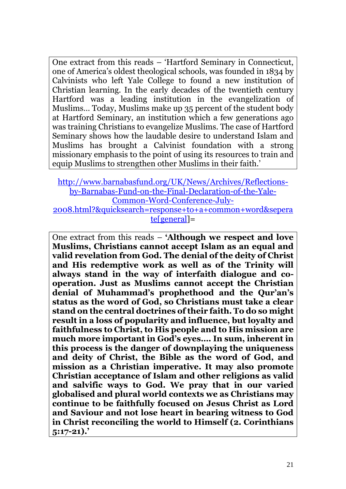One extract from this reads – 'Hartford Seminary in Connecticut, one of America's oldest theological schools, was founded in 1834 by Calvinists who left Yale College to found a new institution of Christian learning. In the early decades of the twentieth century Hartford was a leading institution in the evangelization of Muslims… Today, Muslims make up 35 percent of the student body at Hartford Seminary, an institution which a few generations ago was training Christians to evangelize Muslims. The case of Hartford Seminary shows how the laudable desire to understand Islam and Muslims has brought a Calvinist foundation with a strong missionary emphasis to the point of using its resources to train and equip Muslims to strengthen other Muslims in their faith.'

[http://www.barnabasfund.org/UK/News/Archives/Reflections](http://www.barnabasfund.org/UK/News/Archives/Reflections-by-Barnabas-Fund-on-the-Final-Declaration-of-the-Yale-Common-Word-Conference-July-2008.html?&quicksearch=response+to+a+common+word&seperate%5bgeneral)[by-Barnabas-Fund-on-the-Final-Declaration-of-the-Yale-](http://www.barnabasfund.org/UK/News/Archives/Reflections-by-Barnabas-Fund-on-the-Final-Declaration-of-the-Yale-Common-Word-Conference-July-2008.html?&quicksearch=response+to+a+common+word&seperate%5bgeneral)[Common-Word-Conference-July-](http://www.barnabasfund.org/UK/News/Archives/Reflections-by-Barnabas-Fund-on-the-Final-Declaration-of-the-Yale-Common-Word-Conference-July-2008.html?&quicksearch=response+to+a+common+word&seperate%5bgeneral)[2008.html?&quicksearch=response+to+a+common+word&sepera](http://www.barnabasfund.org/UK/News/Archives/Reflections-by-Barnabas-Fund-on-the-Final-Declaration-of-the-Yale-Common-Word-Conference-July-2008.html?&quicksearch=response+to+a+common+word&seperate%5bgeneral) [te\[general\]](http://www.barnabasfund.org/UK/News/Archives/Reflections-by-Barnabas-Fund-on-the-Final-Declaration-of-the-Yale-Common-Word-Conference-July-2008.html?&quicksearch=response+to+a+common+word&seperate%5bgeneral)=

One extract from this reads – **'Although we respect and love Muslims, Christians cannot accept Islam as an equal and valid revelation from God. The denial of the deity of Christ and His redemptive work as well as of the Trinity will always stand in the way of interfaith dialogue and cooperation. Just as Muslims cannot accept the Christian denial of Muhammad's prophethood and the Qur'an's status as the word of God, so Christians must take a clear stand on the central doctrines of their faith. To do so might result in a loss of popularity and influence, but loyalty and faithfulness to Christ, to His people and to His mission are much more important in God's eyes…. In sum, inherent in this process is the danger of downplaying the uniqueness and deity of Christ, the Bible as the word of God, and mission as a Christian imperative. It may also promote Christian acceptance of Islam and other religions as valid and salvific ways to God. We pray that in our varied globalised and plural world contexts we as Christians may continue to be faithfully focused on Jesus Christ as Lord and Saviour and not lose heart in bearing witness to God in Christ reconciling the world to Himself (2. Corinthians 5:17-21).'**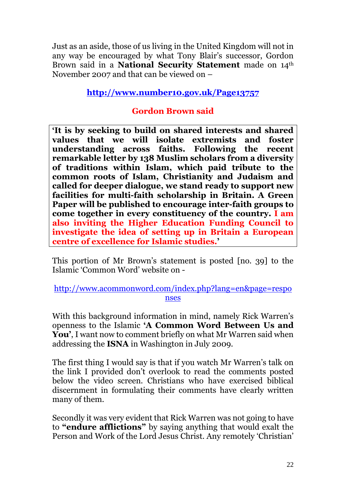Just as an aside, those of us living in the United Kingdom will not in any way be encouraged by what Tony Blair's successor, Gordon Brown said in a **National Security Statement** made on 14th November 2007 and that can be viewed on –

# **<http://www.number10.gov.uk/Page13757>**

# **Gordon Brown said**

**'It is by seeking to build on shared interests and shared values that we will isolate extremists and foster understanding across faiths. Following the recent remarkable letter by 138 Muslim scholars from a diversity of traditions within Islam, which paid tribute to the common roots of Islam, Christianity and Judaism and called for deeper dialogue, we stand ready to support new facilities for multi-faith scholarship in Britain. A Green Paper will be published to encourage inter-faith groups to come together in every constituency of the country. I am also inviting the Higher Education Funding Council to investigate the idea of setting up in Britain a European centre of excellence for Islamic studies.'**

This portion of Mr Brown's statement is posted [no. 39] to the Islamic 'Common Word' website on -

## [http://www.acommonword.com/index.php?lang=en&page=respo](http://www.acommonword.com/index.php?lang=en&page=responses) [nses](http://www.acommonword.com/index.php?lang=en&page=responses)

With this background information in mind, namely Rick Warren's openness to the Islamic **'A Common Word Between Us and You'**, I want now to comment briefly on what Mr Warren said when addressing the **ISNA** in Washington in July 2009.

The first thing I would say is that if you watch Mr Warren's talk on the link I provided don't overlook to read the comments posted below the video screen. Christians who have exercised biblical discernment in formulating their comments have clearly written many of them.

Secondly it was very evident that Rick Warren was not going to have to **"endure afflictions"** by saying anything that would exalt the Person and Work of the Lord Jesus Christ. Any remotely 'Christian'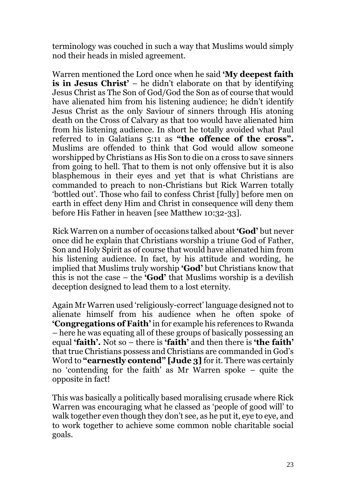terminology was couched in such a way that Muslims would simply nod their heads in misled agreement.

Warren mentioned the Lord once when he said **'My deepest faith is in Jesus Christ'** – he didn't elaborate on that by identifying Jesus Christ as The Son of God/God the Son as of course that would have alienated him from his listening audience; he didn't identify Jesus Christ as the only Saviour of sinners through His atoning death on the Cross of Calvary as that too would have alienated him from his listening audience. In short he totally avoided what Paul referred to in Galatians 5:11 as **"the offence of the cross".** Muslims are offended to think that God would allow someone worshipped by Christians as His Son to die on a cross to save sinners from going to hell. That to them is not only offensive but it is also blasphemous in their eyes and yet that is what Christians are commanded to preach to non-Christians but Rick Warren totally 'bottled out'. Those who fail to confess Christ [fully] before men on earth in effect deny Him and Christ in consequence will deny them before His Father in heaven [see Matthew 10:32-33].

Rick Warren on a number of occasions talked about **'God'** but never once did he explain that Christians worship a triune God of Father, Son and Holy Spirit as of course that would have alienated him from his listening audience. In fact, by his attitude and wording, he implied that Muslims truly worship **'God'** but Christians know that this is not the case – the **'God'** that Muslims worship is a devilish deception designed to lead them to a lost eternity.

Again Mr Warren used 'religiously-correct' language designed not to alienate himself from his audience when he often spoke of **'Congregations of Faith'** in for example his references to Rwanda – here he was equating all of these groups of basically possessing an equal **'faith'.** Not so – there is **'faith'** and then there is **'the faith'** that true Christians possess and Christians are commanded in God's Word to **"earnestly contend" [Jude 3]** for it. There was certainly no 'contending for the faith' as Mr Warren spoke – quite the opposite in fact!

This was basically a politically based moralising crusade where Rick Warren was encouraging what he classed as 'people of good will' to walk together even though they don't see, as he put it, eye to eye, and to work together to achieve some common noble charitable social goals.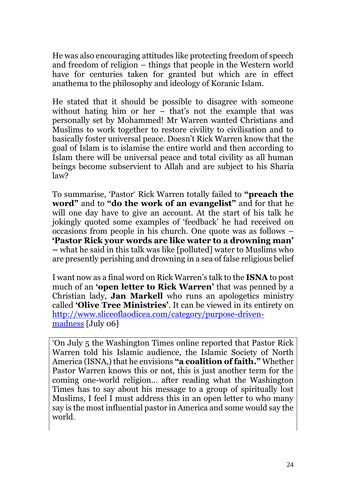He was also encouraging attitudes like protecting freedom of speech and freedom of religion – things that people in the Western world have for centuries taken for granted but which are in effect anathema to the philosophy and ideology of Koranic Islam.

He stated that it should be possible to disagree with someone without hating him or her – that's not the example that was personally set by Mohammed! Mr Warren wanted Christians and Muslims to work together to restore civility to civilisation and to basically foster universal peace. Doesn't Rick Warren know that the goal of Islam is to islamise the entire world and then according to Islam there will be universal peace and total civility as all human beings become subservient to Allah and are subject to his Sharia law?

To summarise, 'Pastor' Rick Warren totally failed to **"preach the word"** and to **"do the work of an evangelist"** and for that he will one day have to give an account. At the start of his talk he jokingly quoted some examples of 'feedback' he had received on occasions from people in his church. One quote was as follows – **'Pastor Rick your words are like water to a drowning man' –** what he said in this talk was like [polluted] water to Muslims who are presently perishing and drowning in a sea of false religious belief

I want now as a final word on Rick Warren's talk to the **ISNA** to post much of an **'open letter to Rick Warren'** that was penned by a Christian lady, **Jan Markell** who runs an apologetics ministry called **'Olive Tree Ministries'**. It can be viewed in its entirety on [http://www.sliceoflaodicea.com/category/purpose-driven](http://www.sliceoflaodicea.com/category/purpose-driven-madness)[madness](http://www.sliceoflaodicea.com/category/purpose-driven-madness) [July 06]

'On July 5 the Washington Times online reported that Pastor Rick Warren told his Islamic audience, the Islamic Society of North America (ISNA,) that he envisions **"a coalition of faith."** Whether Pastor Warren knows this or not, this is just another term for the coming one-world religion… after reading what the Washington Times has to say about his message to a group of spiritually lost Muslims, I feel I must address this in an open letter to who many say is the most influential pastor in America and some would say the world.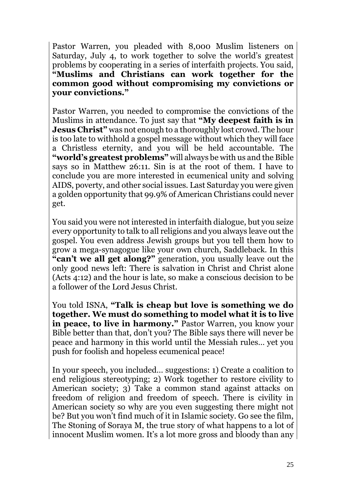Pastor Warren, you pleaded with 8,000 Muslim listeners on Saturday, July 4, to work together to solve the world's greatest problems by cooperating in a series of interfaith projects. You said, **"Muslims and Christians can work together for the common good without compromising my convictions or your convictions."**

Pastor Warren, you needed to compromise the convictions of the Muslims in attendance. To just say that **"My deepest faith is in Jesus Christ"** was not enough to a thoroughly lost crowd. The hour is too late to withhold a gospel message without which they will face a Christless eternity, and you will be held accountable. The **"world's greatest problems"** will always be with us and the Bible says so in Matthew 26:11. Sin is at the root of them. I have to conclude you are more interested in ecumenical unity and solving AIDS, poverty, and other social issues. Last Saturday you were given a golden opportunity that 99.9% of American Christians could never get.

You said you were not interested in interfaith dialogue, but you seize every opportunity to talk to all religions and you always leave out the gospel. You even address Jewish groups but you tell them how to grow a mega-synagogue like your own church, Saddleback. In this **"can't we all get along?"** generation, you usually leave out the only good news left: There is salvation in Christ and Christ alone (Acts 4:12) and the hour is late, so make a conscious decision to be a follower of the Lord Jesus Christ.

You told ISNA, **"Talk is cheap but love is something we do together. We must do something to model what it is to live in peace, to live in harmony."** Pastor Warren, you know your Bible better than that, don't you? The Bible says there will never be peace and harmony in this world until the Messiah rules… yet you push for foolish and hopeless ecumenical peace!

In your speech, you included… suggestions: 1) Create a coalition to end religious stereotyping; 2) Work together to restore civility to American society; 3) Take a common stand against attacks on freedom of religion and freedom of speech. There is civility in American society so why are you even suggesting there might not be? But you won't find much of it in Islamic society. Go see the film, The Stoning of Soraya M, the true story of what happens to a lot of innocent Muslim women. It's a lot more gross and bloody than any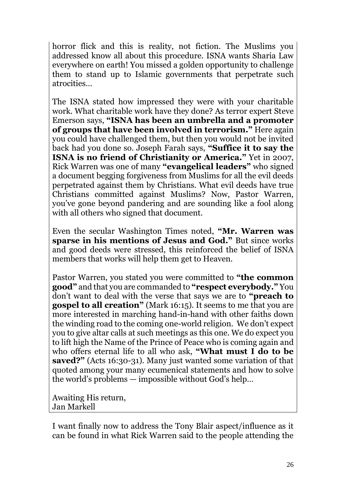horror flick and this is reality, not fiction. The Muslims you addressed know all about this procedure. ISNA wants Sharia Law everywhere on earth! You missed a golden opportunity to challenge them to stand up to Islamic governments that perpetrate such atrocities…

The ISNA stated how impressed they were with your charitable work. What charitable work have they done? As terror expert Steve Emerson says, **"ISNA has been an umbrella and a promoter of groups that have been involved in terrorism."** Here again you could have challenged them, but then you would not be invited back had you done so. Joseph Farah says, **"Suffice it to say the ISNA is no friend of Christianity or America."** Yet in 2007, Rick Warren was one of many **"evangelical leaders"** who signed a document begging forgiveness from Muslims for all the evil deeds perpetrated against them by Christians. What evil deeds have true Christians committed against Muslims? Now, Pastor Warren, you've gone beyond pandering and are sounding like a fool along with all others who signed that document.

Even the secular Washington Times noted, **"Mr. Warren was sparse in his mentions of Jesus and God."** But since works and good deeds were stressed, this reinforced the belief of ISNA members that works will help them get to Heaven.

Pastor Warren, you stated you were committed to **"the common good"** and that you are commanded to **"respect everybody."** You don't want to deal with the verse that says we are to **"preach to gospel to all creation"** (Mark 16:15). It seems to me that you are more interested in marching hand-in-hand with other faiths down the winding road to the coming one-world religion. We don't expect you to give altar calls at such meetings as this one. We do expect you to lift high the Name of the Prince of Peace who is coming again and who offers eternal life to all who ask, **"What must I do to be saved?"** (Acts 16:30-31). Many just wanted some variation of that quoted among your many ecumenical statements and how to solve the world's problems — impossible without God's help…

Awaiting His return, Jan Markell

I want finally now to address the Tony Blair aspect/influence as it can be found in what Rick Warren said to the people attending the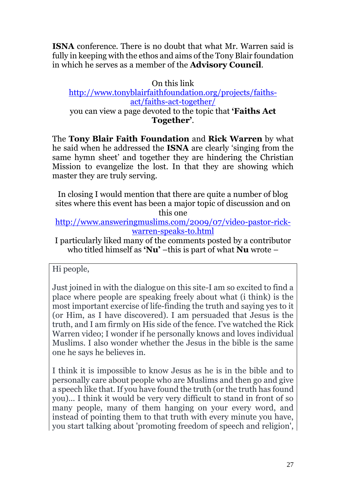**ISNA** conference. There is no doubt that what Mr. Warren said is fully in keeping with the ethos and aims of the Tony Blair foundation in which he serves as a member of the **Advisory Council**.

## On this link [http://www.tonyblairfaithfoundation.org/projects/faiths](http://www.tonyblairfaithfoundation.org/projects/faiths-act/faiths-act-together/)[act/faiths-act-together/](http://www.tonyblairfaithfoundation.org/projects/faiths-act/faiths-act-together/) you can view a page devoted to the topic that **'Faiths Act Together'**.

The **Tony Blair Faith Foundation** and **Rick Warren** by what he said when he addressed the **ISNA** are clearly 'singing from the same hymn sheet' and together they are hindering the Christian Mission to evangelize the lost. In that they are showing which master they are truly serving.

In closing I would mention that there are quite a number of blog sites where this event has been a major topic of discussion and on this one

[http://www.answeringmuslims.com/2009/07/video-pastor-rick](http://www.answeringmuslims.com/2009/07/video-pastor-rick-warren-speaks-to.html)[warren-speaks-to.html](http://www.answeringmuslims.com/2009/07/video-pastor-rick-warren-speaks-to.html)

I particularly liked many of the comments posted by a contributor who titled himself as **'Nu'** –this is part of what **Nu** wrote –

Hi people,

Just joined in with the dialogue on this site-I am so excited to find a place where people are speaking freely about what (i think) is the most important exercise of life-finding the truth and saying yes to it (or Him, as I have discovered). I am persuaded that Jesus is the truth, and I am firmly on His side of the fence. I've watched the Rick Warren video; I wonder if he personally knows and loves individual Muslims. I also wonder whether the Jesus in the bible is the same one he says he believes in.

I think it is impossible to know Jesus as he is in the bible and to personally care about people who are Muslims and then go and give a speech like that. If you have found the truth (or the truth has found you)... I think it would be very very difficult to stand in front of so many people, many of them hanging on your every word, and instead of pointing them to that truth with every minute you have, you start talking about 'promoting freedom of speech and religion',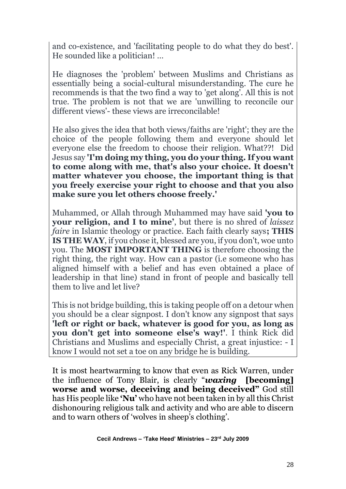and co-existence, and 'facilitating people to do what they do best'. He sounded like a politician! …

He diagnoses the 'problem' between Muslims and Christians as essentially being a social-cultural misunderstanding. The cure he recommends is that the two find a way to 'get along'. All this is not true. The problem is not that we are 'unwilling to reconcile our different views'- these views are irreconcilable!

He also gives the idea that both views/faiths are 'right'; they are the choice of the people following them and everyone should let everyone else the freedom to choose their religion. What??! Did Jesus say **'I'm doing my thing, you do your thing. If you want to come along with me, that's also your choice. It doesn't matter whatever you choose, the important thing is that you freely exercise your right to choose and that you also make sure you let others choose freely.'**

Muhammed, or Allah through Muhammed may have said **'you to your religion, and I to mine'**, but there is no shred of *laissez faire* in Islamic theology or practice. Each faith clearly says**; THIS IS THE WAY**, if you chose it, blessed are you, if you don't, woe unto you. The **MOST IMPORTANT THING** is therefore choosing the right thing, the right way. How can a pastor (i.e someone who has aligned himself with a belief and has even obtained a place of leadership in that line) stand in front of people and basically tell them to live and let live?

This is not bridge building, this is taking people off on a detour when you should be a clear signpost. I don't know any signpost that says **'left or right or back, whatever is good for you, as long as you don't get into someone else's way!'**. I think Rick did Christians and Muslims and especially Christ, a great injustice: - I know I would not set a toe on any bridge he is building.

It is most heartwarming to know that even as Rick Warren, under the influence of Tony Blair, is clearly "*waxing* **[becoming] worse and worse, deceiving and being deceived"** God still has His people like **'Nu'** who have not been taken in by all this Christ dishonouring religious talk and activity and who are able to discern and to warn others of 'wolves in sheep's clothing'.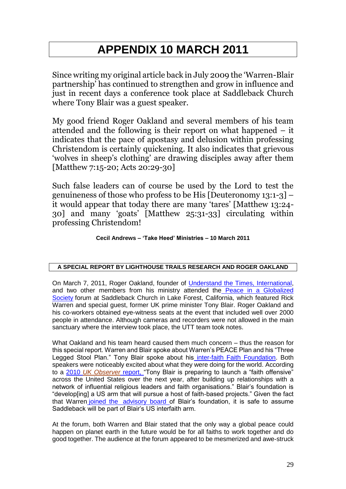# **APPENDIX 10 MARCH 2011**

Since writing my original article back in July 2009 the 'Warren-Blair partnership' has continued to strengthen and grow in influence and just in recent days a conference took place at Saddleback Church where Tony Blair was a guest speaker.

My good friend Roger Oakland and several members of his team attended and the following is their report on what happened – it indicates that the pace of apostasy and delusion within professing Christendom is certainly quickening. It also indicates that grievous 'wolves in sheep's clothing' are drawing disciples away after them [Matthew 7:15-20; Acts 20:29-30]

Such false leaders can of course be used by the Lord to test the genuineness of those who profess to be His [Deuteronomy 13:1-3] – it would appear that today there are many 'tares' [Matthew 13:24- 30] and many 'goats' [Matthew 25:31-33] circulating within professing Christendom!

### **Cecil Andrews – 'Take Heed' Ministries – 10 March 2011**

### **A SPECIAL REPORT BY LIGHTHOUSE TRAILS RESEARCH AND ROGER OAKLAND**

On March 7, 2011, Roger Oakland, founder of [Understand the Times, International,](http://www.understandthetimes.org/) and two other members from his ministry attended the [Peace in a Globalized](http://www.saddlebackcivilforum.com/peaceinaglobalizedsociety/)  [Society](http://www.saddlebackcivilforum.com/peaceinaglobalizedsociety/) forum at Saddleback Church in Lake Forest, California, which featured Rick Warren and special guest, former UK prime minister Tony Blair. Roger Oakland and his co-workers obtained eye-witness seats at the event that included well over 2000 people in attendance. Although cameras and recorders were not allowed in the main sanctuary where the interview took place, the UTT team took notes.

What Oakland and his team heard caused them much concern – thus the reason for this special report. Warren and Blair spoke about Warren's PEACE Plan and his "Three Legged Stool Plan." Tony Blair spoke about his [inter-faith Faith Foundation.](http://www.tonyblairfaithfoundation.org/) Both speakers were noticeably excited about what they were doing for the world. According to a 2010 *[UK Observer](http://www.guardian.co.uk/politics/2010/mar/14/tony-blair-faith-foundation-america)* report, "Tony Blair is preparing to launch a "faith offensive" across the United States over the next year, after building up relationships with a network of influential religious leaders and faith organisations." Blair's foundation is "develop[ing] a US arm that will pursue a host of faith-based projects." Given the fact that Warren joined the advisory board of Blair's foundation, it is safe to assume Saddleback will be part of Blair's US interfaith arm.

At the forum, both Warren and Blair stated that the only way a global peace could happen on planet earth in the future would be for all faiths to work together and do good together. The audience at the forum appeared to be mesmerized and awe-struck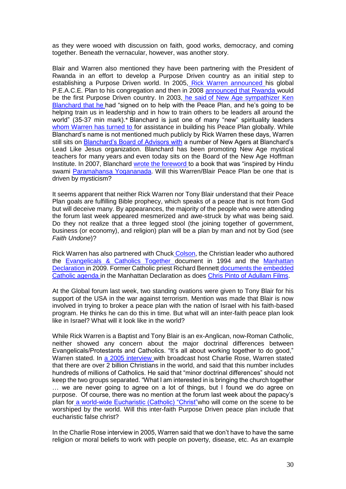as they were wooed with discussion on faith, good works, democracy, and coming together. Beneath the vernacular, however, was another story.

Blair and Warren also mentioned they have been partnering with the President of Rwanda in an effort to develop a Purpose Driven country as an initial step to establishing a Purpose Driven world. In 2005, [Rick Warren announced h](http://www.christianexaminer.com/Articles/Articles%20May05/Art_May05_02.html)is global P.E.A.C.E. Plan to his congregation and then in 2008 [announced that Rwanda w](http://mnnonline.org/article/11148)ould be the first Purpose Driven country. In 2003, he said of New Age sympathizer Ken [Blanchard that he](http://www.lighthousetrailsresearch.com/RWAnnouncesPeace.wma) had "signed on to help with the Peace Plan, and he's going to be helping train us in leadership and in how to train others to be leaders all around the world" (35-37 min mark).\* Blanchard is just one of many "new" spirituality leaders whom Warren has turned to for assistance in building his Peace Plan globally. While Blanchard's name is not mentioned much publicly by Rick Warren these days, Warren still sits on [Blanchard's Board of Advisors with](http://www.lighthousetrailsresearch.com/leadlikejesus.htm) a number of New Agers at Blanchard's Lead Like Jesus organization. Blanchard has been promoting New Age mystical teachers for many years and even today sits on the Board of the New Age Hoffman Institute. In 2007, Blanchard [wrote the foreword t](http://www.lighthousetrailsresearch.com/blog/?p=1852)o a book that was "inspired by Hindu swami [Paramahansa Yogananada.](http://www.tribuneindia.com/2004/20040103/windows/main2.htm) Will this Warren/Blair Peace Plan be one that is driven by mysticism?

It seems apparent that neither Rick Warren nor Tony Blair understand that their Peace Plan goals are fulfilling Bible prophecy, which speaks of a peace that is not from God but will deceive many. By appearances, the majority of the people who were attending the forum last week appeared mesmerized and awe-struck by what was being said. Do they not realize that a three legged stool (the joining together of government, business (or economy), and religion) plan will be a plan by man and not by God (see *Faith Undone*)?

Rick Warren has also partnered with Chuck [Colson,](http://www.lighthousetrailsresearch.com/blog/?p=534) the Christian leader who authored the [Evangelicals & Catholics Together d](http://www.leaderu.com/ftissues/ft9405/articles/mission.html)ocument in 1994 and the [Manhattan](http://www.lighthousetrailsresearch.com/blog/?p=498) [Declaration i](http://www.lighthousetrailsresearch.com/blog/?p=498)n 2009. Former Catholic priest Richard Bennett [documents the embedded](mip://0194ada8/Catholic%20Agenda%20Embedded%20in%20the%20Manhattan%20Declaration)  [Catholic agenda i](mip://0194ada8/Catholic%20Agenda%20Embedded%20in%20the%20Manhattan%20Declaration)n the Manhattan Declaration as does [Chris Pinto of Adullam Films.](http://www.lighthousetrailsresearch.com/blog/?p=1198)

At the Global forum last week, two standing ovations were given to Tony Blair for his support of the USA in the war against terrorism. Mention was made that Blair is now involved in trying to broker a peace plan with the nation of Israel with his faith-based program. He thinks he can do this in time. But what will an inter-faith peace plan look like in Israel? What will it look like in the world?

While Rick Warren is a Baptist and Tony Blair is an ex-Anglican, now-Roman Catholic, neither showed any concern about the major doctrinal differences between Evangelicals/Protestants and Catholics. "It's all about working together to do good," Warren stated. In [a 2005 interview w](http://video.google.com/videoplay?docid=-5555324196046364882)ith broadcast host Charlie Rose, Warren stated that there are over 2 billion Christians in the world, and said that this number includes hundreds of millions of Catholics. He said that "minor doctrinal differences" should not keep the two groups separated. "What I am interested in is bringing the church together … we are never going to agree on a lot of things, but I found we do agree on purpose. Of course, there was no mention at the forum last week about the papacy's plan for a world-wide Eucharistic (Catholic) "Christ"who will come on the scene to be worshiped by the world. Will this inter-faith Purpose Driven peace plan include that eucharistic false christ?

In the Charlie Rose interview in 2005, Warren said that we don't have to have the same religion or moral beliefs to work with people on poverty, disease, etc. As an example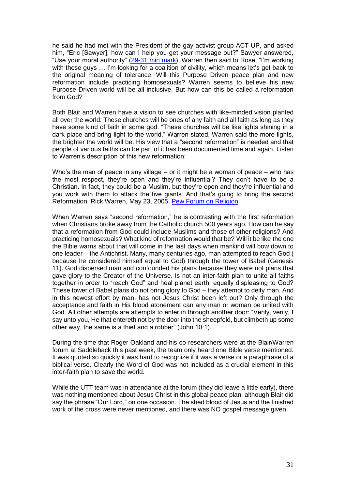he said he had met with the President of the gay-activist group ACT UP, and asked him, "Eric [Sawyer], how can I help you get your message out?" Sawyer answered, "Use your moral authority" [\(29-31 min mark\)](http://video.google.com/videoplay?docid=-5555324196046364882). Warren then said to Rose, "I'm working with these guys ... I'm looking for a coalition of civility, which means let's get back to the original meaning of tolerance. Will this Purpose Driven peace plan and new reformation include practicing homosexuals? Warren seems to believe his new Purpose Driven world will be all inclusive. But how can this be called a reformation from God?

Both Blair and Warren have a vision to see churches with like-minded vision planted all over the world. These churches will be ones of any faith and all faith as long as they have some kind of faith in some god. "These churches will be like lights shining in a dark place and bring light to the world," Warren stated. Warren said the more lights, the brighter the world will be. His view that a "second reformation" is needed and that people of various faiths can be part of it has been documented time and again. Listen to Warren's description of this new reformation:

Who's the man of peace in any village – or it might be a woman of peace – who has the most respect, they're open and they're influential? They don't have to be a Christian. In fact, they could be a Muslim, but they're open and they're influential and you work with them to attack the five giants. And that's going to bring the second Reformation. Rick Warren, May 23, 2005, Pew [Forum on Religion](http://pewforum.org/Christian/Evangelical-Protestant-Churches/Myths-of-the-Modern-Megachurch.aspx)

When Warren says "second reformation," he is contrasting with the first reformation when Christians broke away from the Catholic church 500 years ago. How can he say that a reformation from God could include Muslims and those of other religions? And practicing homosexuals? What kind of reformation would that be? Will it be like the one the Bible warns about that will come in the last days when mankind will bow down to one leader – the Antichrist. Many, many centuries ago, man attempted to reach God ( because he considered himself equal to God) through the tower of Babel (Genesis 11). God dispersed man and confounded his plans because they were not plans that gave glory to the Creator of the Universe. Is not an inter-faith plan to unite all faiths together in order to "reach God" and heal planet earth, equally displeasing to God? These tower of Babel plans do not bring glory to God – they attempt to deify man. And in this newest effort by man, has not Jesus Christ been left out? Only through the acceptance and faith in His blood atonement can any man or woman be united with God. All other attempts are attempts to enter in through another door: "Verily, verily, I say unto you, He that entereth not by the door into the sheepfold, but climbeth up some other way, the same is a thief and a robber" (John 10:1).

During the time that Roger Oakland and his co-researchers were at the Blair/Warren forum at Saddleback this past week, the team only heard one Bible verse mentioned. It was quoted so quickly it was hard to recognize if it was a verse or a paraphrase of a biblical verse. Clearly the Word of God was not included as a crucial element in this inter-faith plan to save the world.

While the UTT team was in attendance at the forum (they did leave a little early), there was nothing mentioned about Jesus Christ in this global peace plan, although Blair did say the phrase "Our Lord," on one occasion. The shed blood of Jesus and the finished work of the cross were never mentioned, and there was NO gospel message given.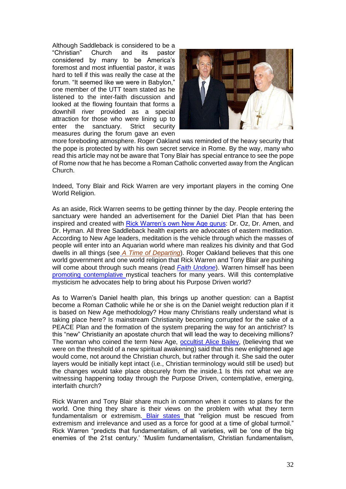Although Saddleback is considered to be a "Christian" Church and its pastor considered by many to be America's foremost and most influential pastor, it was hard to tell if this was really the case at the forum. "It seemed like we were in Babylon," one member of the UTT team stated as he listened to the inter-faith discussion and looked at the flowing fountain that forms a downhill river provided as a special attraction for those who were lining up to enter the sanctuary. Strict security measures during the forum gave an even



more foreboding atmosphere. Roger Oakland was reminded of the heavy security that the pope is protected by with his own secret service in Rome. By the way, many who read this article may not be aware that Tony Blair has special entrance to see the pope of Rome now that he has become a Roman Catholic converted away from the Anglican Church.

Indeed, Tony Blair and Rick Warren are very important players in the coming One World Religion.

As an aside, Rick Warren seems to be getting thinner by the day. People entering the sanctuary were handed an advertisement for the Daniel Diet Plan that has been inspired and created with [Rick Warren's own New Age gurus:](http://www.lighthousetrailsresearch.com/blog/?p=5580) Dr. Oz, Dr. Amen, and Dr. Hyman. All three Saddleback health experts are advocates of eastern meditation. According to New Age leaders, meditation is the vehicle through which the masses of people will enter into an Aquarian world where man realizes his divinity and that God dwells in all things (see *[A Time of Departing](http://www.lighthousetrails.com/mm5/merchant.mvc?Screen=PROD&Store_Code=LTP&Product_Code=ATOD&Category_Code=BS)*). Roger Oakland believes that this one world government and one world religion that Rick Warren and Tony Blair are pushing will come about through such means (read *Faith Undone*). Warren himself has bee[n](http://www.lighthousetrailsresearch.com/blog/?p=1706) [promoting contemplative m](http://www.lighthousetrailsresearch.com/blog/?p=1706)ystical teachers for many years. Will this contemplative mysticism he advocates help to bring about his Purpose Driven world?

As to Warren's Daniel health plan, this brings up another question: can a Baptist become a Roman Catholic while he or she is on the Daniel weight reduction plan if it is based on New Age methodology? How many Christians really understand what is taking place here? Is mainstream Christianity becoming corrupted for the sake of a PEACE Plan and the formation of the system preparing the way for an antichrist? Is this "new" Christianity an apostate church that will lead the way to deceiving millions? The woman who coined the term New Age, [occultist Alice Bailey,](http://www.lighthousetrailsresearch.com/alicebailey.htm) (believing that we were on the threshold of a new spiritual awakening) said that this new enlightened age would come, not around the Christian church, but rather through it. She said the outer layers would be initially kept intact (i.e., Christian terminology would still be used) but the changes would take place obscurely from the inside.1 Is this not what we are witnessing happening today through the Purpose Driven, contemplative, emerging, interfaith church?

Rick Warren and Tony Blair share much in common when it comes to plans for the world. One thing they share is their views on the problem with what they term fundamentalism or extremism. [Blair states t](http://www.lighthousetrailsresearch.com/blog/?p=1830)hat "religion must be rescued from extremism and irrelevance and used as a force for good at a time of global turmoil." Rick Warren "predicts that fundamentalism, of all varieties, will be 'one of the big enemies of the 21st century.' 'Muslim fundamentalism, Christian fundamentalism[,](http://www.lighthousetrailsresearch.com/blog/?p=528)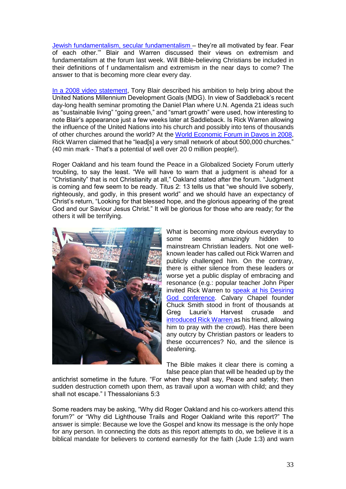Jewish fundamentalism, secular fundamentalism - they're all motivated by fear. Fear of each other.'" Blair and Warren discussed their views on extremism and fundamentalism at the forum last week. Will Bible-believing Christians be included in their definitions of f undamentalism and extremism in the near days to come? The answer to that is becoming more clear every day.

[In a 2008 video statement,](http://www.youtube.com/watch?v=ksnMx6l4T64) Tony Blair described his ambition to help bring about the United Nations Millennium Development Goals (MDG). In view of Saddleback's recent day-long health seminar promoting the Daniel Plan where U.N. Agenda 21 ideas such as "sustainable living" "going green," and "smart growth" were used, how interesting to note Blair's appearance just a few weeks later at Saddleback. Is Rick Warren allowing the influence of the United Nations into his church and possibly into tens of thousands of other churches around the world? At the World Economic [Forum in Davos in 2008,](http://www.youtube.com/watch?v=rGytW4yh0C8) Rick Warren claimed that he "lead[s] a very small network of about 500,000 churches." (40 min mark - That's a potential of well over 20 0 million people!).

Roger Oakland and his team found the Peace in a Globalized Society Forum utterly troubling, to say the least. "We will have to warn that a judgment is ahead for a "Christianity" that is not Christianity at all," Oakland stated after the forum. "Judgment is coming and few seem to be ready. Titus 2: 13 tells us that "we should live soberly, righteously, and godly, in this present world" and we should have an expectancy of Christ's return, "Looking for that blessed hope, and the glorious appearing of the great God and our Saviour Jesus Christ." It will be glorious for those who are ready; for the others it will be terrifying.



What is becoming more obvious everyday to some seems amazingly hidden to mainstream Christian leaders. Not one wellknown leader has called out Rick Warren and publicly challenged him. On the contrary, there is either silence from these leaders or worse yet a public display of embracing and resonance (e.g.: popular teacher John Piper invited Rick Warren to [speak at his Desiring](http://apprising.org/2010/03/31/overstatement-about-rick-warren-appearing-at-desiring-god-2010/)  [God conference.](http://apprising.org/2010/03/31/overstatement-about-rick-warren-appearing-at-desiring-god-2010/) Calvary Chapel founder Chuck Smith stood in front of thousands at Greg Laurie's Harvest crusade an[d](http://www.youtube.com/watch?v=417tCBIc1cY) [introduced Rick Warren a](http://www.youtube.com/watch?v=417tCBIc1cY)s his friend, allowing him to pray with the crowd). Has there been any outcry by Christian pastors or leaders to these occurrences? No, and the silence is deafening.

The Bible makes it clear there is coming a false peace plan that will be headed up by the

antichrist sometime in the future. "For when they shall say, Peace and safety; then sudden destruction cometh upon them, as travail upon a woman with child; and they shall not escape." I Thessalonians 5:3

Some readers may be asking, "Why did Roger Oakland and his co-workers attend this forum?" or "Why did Lighthouse Trails and Roger Oakland write this report?" The answer is simple: Because we love the Gospel and know its message is the only hope for any person. In connecting the dots as this report attempts to do, we believe it is a biblical mandate for believers to contend earnestly for the faith (Jude 1:3) and warn